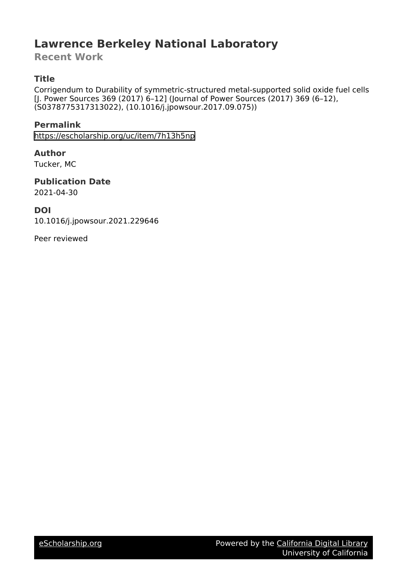# **Lawrence Berkeley National Laboratory**

**Recent Work**

# **Title**

Corrigendum to Durability of symmetric-structured metal-supported solid oxide fuel cells [J. Power Sources 369 (2017) 6–12] (Journal of Power Sources (2017) 369 (6–12), (S0378775317313022), (10.1016/j.jpowsour.2017.09.075))

## **Permalink**

<https://escholarship.org/uc/item/7h13h5np>

### **Author**

Tucker, MC

#### **Publication Date** 2021-04-30

### **DOI**

10.1016/j.jpowsour.2021.229646

Peer reviewed